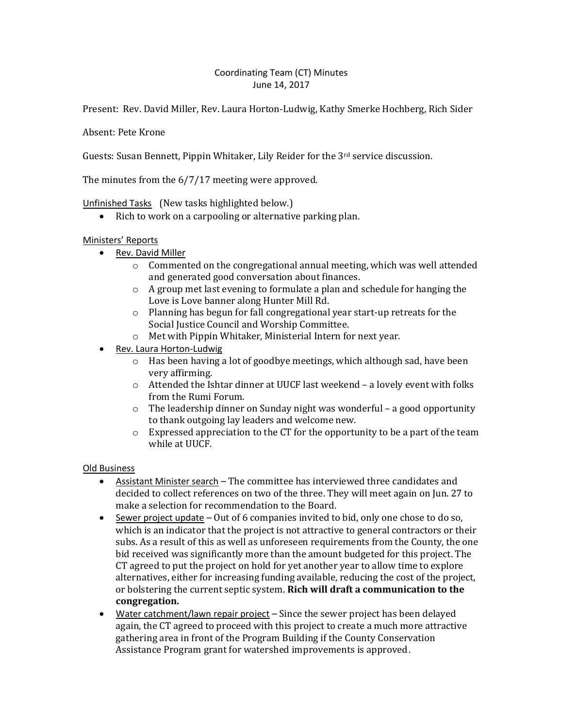# Coordinating Team (CT) Minutes June 14, 2017

Present: Rev. David Miller, Rev. Laura Horton-Ludwig, Kathy Smerke Hochberg, Rich Sider

Absent: Pete Krone

Guests: Susan Bennett, Pippin Whitaker, Lily Reider for the  $3<sup>rd</sup>$  service discussion.

The minutes from the 6/7/17 meeting were approved.

### Unfinished Tasks (New tasks highlighted below.)

• Rich to work on a carpooling or alternative parking plan.

### Ministers' Reports

- Rev. David Miller
	- $\circ$  Commented on the congregational annual meeting, which was well attended and generated good conversation about finances.
	- o A group met last evening to formulate a plan and schedule for hanging the Love is Love banner along Hunter Mill Rd.
	- o Planning has begun for fall congregational year start-up retreats for the Social Justice Council and Worship Committee.
	- o Met with Pippin Whitaker, Ministerial Intern for next year.
- Rev. Laura Horton-Ludwig
	- o Has been having a lot of goodbye meetings, which although sad, have been very affirming.
	- o Attended the Ishtar dinner at UUCF last weekend a lovely event with folks from the Rumi Forum.
	- o The leadership dinner on Sunday night was wonderful a good opportunity to thank outgoing lay leaders and welcome new.
	- $\circ$  Expressed appreciation to the CT for the opportunity to be a part of the team while at UUCF.

#### Old Business

- Assistant Minister search The committee has interviewed three candidates and decided to collect references on two of the three. They will meet again on Jun. 27 to make a selection for recommendation to the Board.
- $\bullet$  Sewer project update Out of 6 companies invited to bid, only one chose to do so, which is an indicator that the project is not attractive to general contractors or their subs. As a result of this as well as unforeseen requirements from the County, the one bid received was significantly more than the amount budgeted for this project. The CT agreed to put the project on hold for yet another year to allow time to explore alternatives, either for increasing funding available, reducing the cost of the project, or bolstering the current septic system. **Rich will draft a communication to the congregation.**
- Water catchment/lawn repair project Since the sewer project has been delayed again, the CT agreed to proceed with this project to create a much more attractive gathering area in front of the Program Building if the County Conservation Assistance Program grant for watershed improvements is approved.